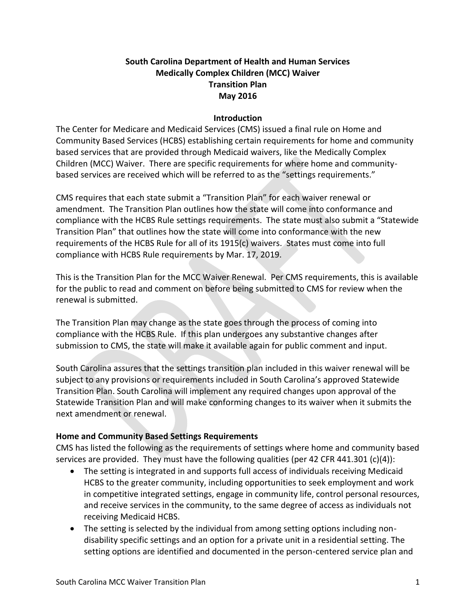# **South Carolina Department of Health and Human Services Medically Complex Children (MCC) Waiver Transition Plan May 2016**

#### **Introduction**

The Center for Medicare and Medicaid Services (CMS) issued a final rule on Home and Community Based Services (HCBS) establishing certain requirements for home and community based services that are provided through Medicaid waivers, like the Medically Complex Children (MCC) Waiver. There are specific requirements for where home and communitybased services are received which will be referred to as the "settings requirements."

CMS requires that each state submit a "Transition Plan" for each waiver renewal or amendment. The Transition Plan outlines how the state will come into conformance and compliance with the HCBS Rule settings requirements. The state must also submit a "Statewide Transition Plan" that outlines how the state will come into conformance with the new requirements of the HCBS Rule for all of its 1915(c) waivers. States must come into full compliance with HCBS Rule requirements by Mar. 17, 2019.

This is the Transition Plan for the MCC Waiver Renewal. Per CMS requirements, this is available for the public to read and comment on before being submitted to CMS for review when the renewal is submitted.

The Transition Plan may change as the state goes through the process of coming into compliance with the HCBS Rule. If this plan undergoes any substantive changes after submission to CMS, the state will make it available again for public comment and input.

South Carolina assures that the settings transition plan included in this waiver renewal will be subject to any provisions or requirements included in South Carolina's approved Statewide Transition Plan. South Carolina will implement any required changes upon approval of the Statewide Transition Plan and will make conforming changes to its waiver when it submits the next amendment or renewal.

#### **Home and Community Based Settings Requirements**

CMS has listed the following as the requirements of settings where home and community based services are provided. They must have the following qualities (per 42 CFR 441.301 (c)(4)):

- The setting is integrated in and supports full access of individuals receiving Medicaid HCBS to the greater community, including opportunities to seek employment and work in competitive integrated settings, engage in community life, control personal resources, and receive services in the community, to the same degree of access as individuals not receiving Medicaid HCBS.
- The setting is selected by the individual from among setting options including nondisability specific settings and an option for a private unit in a residential setting. The setting options are identified and documented in the person-centered service plan and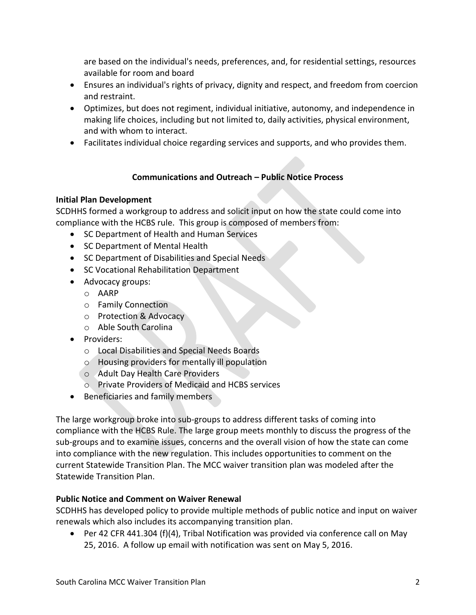are based on the individual's needs, preferences, and, for residential settings, resources available for room and board

- Ensures an individual's rights of privacy, dignity and respect, and freedom from coercion and restraint.
- Optimizes, but does not regiment, individual initiative, autonomy, and independence in making life choices, including but not limited to, daily activities, physical environment, and with whom to interact.
- Facilitates individual choice regarding services and supports, and who provides them.

# **Communications and Outreach – Public Notice Process**

### **Initial Plan Development**

SCDHHS formed a workgroup to address and solicit input on how the state could come into compliance with the HCBS rule. This group is composed of members from:

- SC Department of Health and Human Services
- SC Department of Mental Health
- SC Department of Disabilities and Special Needs
- **SC Vocational Rehabilitation Department**
- Advocacy groups:
	- o AARP
	- o Family Connection
	- o Protection & Advocacy
	- o Able South Carolina
- Providers:
	- o Local Disabilities and Special Needs Boards
	- o Housing providers for mentally ill population
	- o Adult Day Health Care Providers
	- o Private Providers of Medicaid and HCBS services
- Beneficiaries and family members

The large workgroup broke into sub-groups to address different tasks of coming into compliance with the HCBS Rule. The large group meets monthly to discuss the progress of the sub-groups and to examine issues, concerns and the overall vision of how the state can come into compliance with the new regulation. This includes opportunities to comment on the current Statewide Transition Plan. The MCC waiver transition plan was modeled after the Statewide Transition Plan.

# **Public Notice and Comment on Waiver Renewal**

SCDHHS has developed policy to provide multiple methods of public notice and input on waiver renewals which also includes its accompanying transition plan.

 Per 42 CFR 441.304 (f)(4), Tribal Notification was provided via conference call on May 25, 2016. A follow up email with notification was sent on May 5, 2016.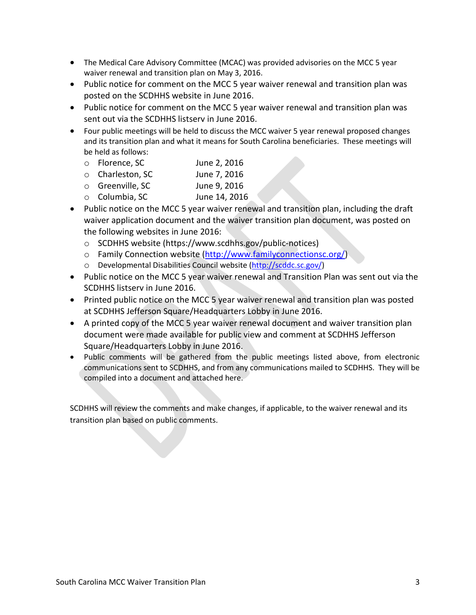- The Medical Care Advisory Committee (MCAC) was provided advisories on the MCC 5 year waiver renewal and transition plan on May 3, 2016.
- Public notice for comment on the MCC 5 year waiver renewal and transition plan was posted on the SCDHHS website in June 2016.
- Public notice for comment on the MCC 5 year waiver renewal and transition plan was sent out via the SCDHHS listserv in June 2016.
- Four public meetings will be held to discuss the MCC waiver 5 year renewal proposed changes and its transition plan and what it means for South Carolina beneficiaries. These meetings will be held as follows:
	- o Florence, SC June 2, 2016
	- o Charleston, SC June 7, 2016
	- o Greenville, SC June 9, 2016
	- o Columbia, SC June 14, 2016
- Public notice on the MCC 5 year waiver renewal and transition plan, including the draft waiver application document and the waiver transition plan document, was posted on the following websites in June 2016:
	- o SCDHHS website (https://www.scdhhs.gov/public-notices)
	- o Family Connection website [\(http://www.familyconnectionsc.org/\)](https://www.familyconnectionsc.org/)
	- o Developmental Disabilities Council website [\(http://scddc.sc.gov/\)](https://scddc.sc.gov/)
- Public notice on the MCC 5 year waiver renewal and Transition Plan was sent out via the SCDHHS listserv in June 2016.
- Printed public notice on the MCC 5 year waiver renewal and transition plan was posted at SCDHHS Jefferson Square/Headquarters Lobby in June 2016.
- A printed copy of the MCC 5 year waiver renewal document and waiver transition plan document were made available for public view and comment at SCDHHS Jefferson Square/Headquarters Lobby in June 2016.
- Public comments will be gathered from the public meetings listed above, from electronic communications sent to SCDHHS, and from any communications mailed to SCDHHS. They will be compiled into a document and attached here.

SCDHHS will review the comments and make changes, if applicable, to the waiver renewal and its transition plan based on public comments.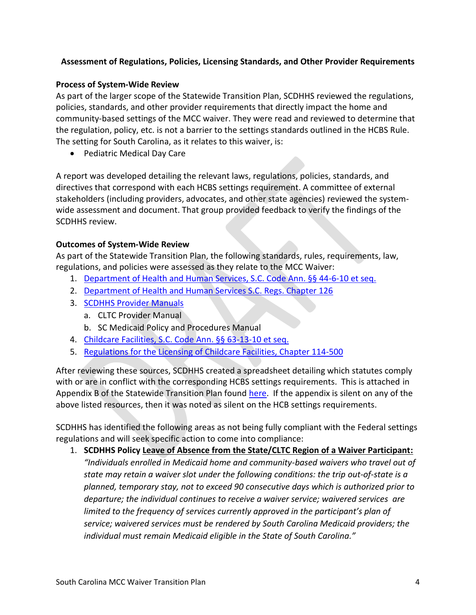# **Assessment of Regulations, Policies, Licensing Standards, and Other Provider Requirements**

### **Process of System-Wide Review**

As part of the larger scope of the Statewide Transition Plan, SCDHHS reviewed the regulations, policies, standards, and other provider requirements that directly impact the home and community-based settings of the MCC waiver. They were read and reviewed to determine that the regulation, policy, etc. is not a barrier to the settings standards outlined in the HCBS Rule. The setting for South Carolina, as it relates to this waiver, is:

Pediatric Medical Day Care

A report was developed detailing the relevant laws, regulations, policies, standards, and directives that correspond with each HCBS settings requirement. A committee of external stakeholders (including providers, advocates, and other state agencies) reviewed the systemwide assessment and document. That group provided feedback to verify the findings of the SCDHHS review.

### **Outcomes of System-Wide Review**

As part of the Statewide Transition Plan, the following standards, rules, requirements, law, regulations, and policies were assessed as they relate to the MCC Waiver:

- 1. [Department of Health and Human Services, S.C. Code Ann. §§ 44-6-10 et seq.](https://www.scstatehouse.gov/code/t44c006.php)
- 2. [Department of Health and Human Services S.C. Regs. Chapter 126](https://www.scstatehouse.gov/coderegs/Ch%20126.pdf)
- 3. [SCDHHS Provider Manuals](https://scdhhs.gov/provider-manual-list)
	- a. CLTC Provider Manual
	- b. SC Medicaid Policy and Procedures Manual
- 4. [Childcare Facilities, S.C. Code Ann. §§ 63-13-10 et seq.](https://www.scstatehouse.gov/code/t63c013.php)
- 5. [Regulations for the Licensing of Childcare Facilities, Chapter 114-500](https://www.scstatehouse.gov/coderegs/Ch%20114.pdf)

After reviewing these sources, SCDHHS created a spreadsheet detailing which statutes comply with or are in conflict with the corresponding HCBS settings requirements. This is attached in Appendix B of the Statewide Transition Plan found [here.](https://msp.scdhhs.gov/hcbs/site-page/statewide-transition-plan) If the appendix is silent on any of the above listed resources, then it was noted as silent on the HCB settings requirements.

SCDHHS has identified the following areas as not being fully compliant with the Federal settings regulations and will seek specific action to come into compliance:

1. **SCDHHS Policy Leave of Absence from the State/CLTC Region of a Waiver Participant:**  *"Individuals enrolled in Medicaid home and community-based waivers who travel out of state may retain a waiver slot under the following conditions: the trip out-of-state is a planned, temporary stay, not to exceed 90 consecutive days which is authorized prior to departure; the individual continues to receive a waiver service; waivered services are limited to the frequency of services currently approved in the participant's plan of service; waivered services must be rendered by South Carolina Medicaid providers; the individual must remain Medicaid eligible in the State of South Carolina."*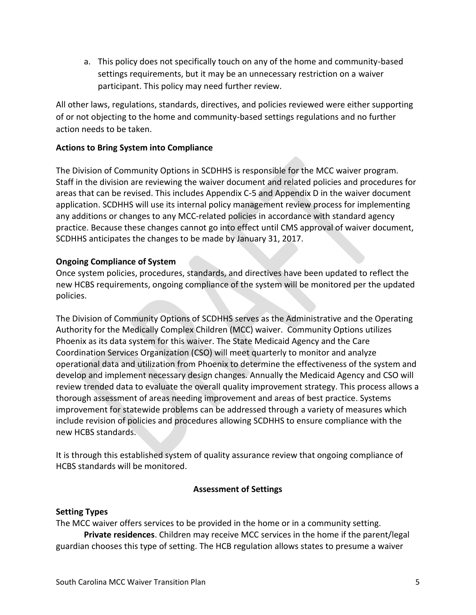a. This policy does not specifically touch on any of the home and community-based settings requirements, but it may be an unnecessary restriction on a waiver participant. This policy may need further review.

All other laws, regulations, standards, directives, and policies reviewed were either supporting of or not objecting to the home and community-based settings regulations and no further action needs to be taken.

### **Actions to Bring System into Compliance**

The Division of Community Options in SCDHHS is responsible for the MCC waiver program. Staff in the division are reviewing the waiver document and related policies and procedures for areas that can be revised. This includes Appendix C-5 and Appendix D in the waiver document application. SCDHHS will use its internal policy management review process for implementing any additions or changes to any MCC-related policies in accordance with standard agency practice. Because these changes cannot go into effect until CMS approval of waiver document, SCDHHS anticipates the changes to be made by January 31, 2017.

### **Ongoing Compliance of System**

Once system policies, procedures, standards, and directives have been updated to reflect the new HCBS requirements, ongoing compliance of the system will be monitored per the updated policies.

The Division of Community Options of SCDHHS serves as the Administrative and the Operating Authority for the Medically Complex Children (MCC) waiver. Community Options utilizes Phoenix as its data system for this waiver. The State Medicaid Agency and the Care Coordination Services Organization (CSO) will meet quarterly to monitor and analyze operational data and utilization from Phoenix to determine the effectiveness of the system and develop and implement necessary design changes. Annually the Medicaid Agency and CSO will review trended data to evaluate the overall quality improvement strategy. This process allows a thorough assessment of areas needing improvement and areas of best practice. Systems improvement for statewide problems can be addressed through a variety of measures which include revision of policies and procedures allowing SCDHHS to ensure compliance with the new HCBS standards.

It is through this established system of quality assurance review that ongoing compliance of HCBS standards will be monitored.

#### **Assessment of Settings**

#### **Setting Types**

The MCC waiver offers services to be provided in the home or in a community setting. **Private residences**. Children may receive MCC services in the home if the parent/legal guardian chooses this type of setting. The HCB regulation allows states to presume a waiver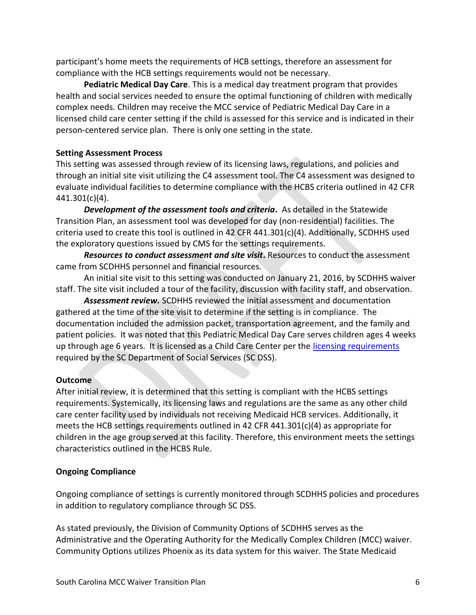participant's home meets the requirements of HCB settings, therefore an assessment for compliance with the HCB settings requirements would not be necessary.

**Pediatric Medical Day Care**. This is a medical day treatment program that provides health and social services needed to ensure the optimal functioning of children with medically complex needs. Children may receive the MCC service of Pediatric Medical Day Care in a licensed child care center setting if the child is assessed for this service and is indicated in their person-centered service plan. There is only one setting in the state.

# **Setting Assessment Process**

This setting was assessed through review of its licensing laws, regulations, and policies and through an initial site visit utilizing the C4 assessment tool. The C4 assessment was designed to evaluate individual facilities to determine compliance with the HCBS criteria outlined in 42 CFR 441.301(c)(4).

*Development of the assessment tools and criteria***.** As detailed in the Statewide Transition Plan, an assessment tool was developed for day (non-residential) facilities. The criteria used to create this tool is outlined in 42 CFR 441.301(c)(4). Additionally, SCDHHS used the exploratory questions issued by CMS for the settings requirements.

*Resources to conduct assessment and site visit***.** Resources to conduct the assessment came from SCDHHS personnel and financial resources.

An initial site visit to this setting was conducted on January 21, 2016, by SCDHHS waiver staff. The site visit included a tour of the facility, discussion with facility staff, and observation.

*Assessment review.* SCDHHS reviewed the initial assessment and documentation gathered at the time of the site visit to determine if the setting is in compliance. The documentation included the admission packet, transportation agreement, and the family and patient policies. It was noted that this Pediatric Medical Day Care serves children ages 4 weeks up through age 6 years. It is licensed as a Child Care Center per the [licensing requirements](https://www.scchildcare.org/providers/become-licensed/licensing-requirements/licensed-child-care-center.aspx) required by the SC Department of Social Services (SC DSS).

# **Outcome**

After initial review, it is determined that this setting is compliant with the HCBS settings requirements. Systemically, its licensing laws and regulations are the same as any other child care center facility used by individuals not receiving Medicaid HCB services. Additionally, it meets the HCB settings requirements outlined in 42 CFR 441.301(c)(4) as appropriate for children in the age group served at this facility. Therefore, this environment meets the settings characteristics outlined in the HCBS Rule.

# **Ongoing Compliance**

Ongoing compliance of settings is currently monitored through SCDHHS policies and procedures in addition to regulatory compliance through SC DSS.

As stated previously, the Division of Community Options of SCDHHS serves as the Administrative and the Operating Authority for the Medically Complex Children (MCC) waiver. Community Options utilizes Phoenix as its data system for this waiver. The State Medicaid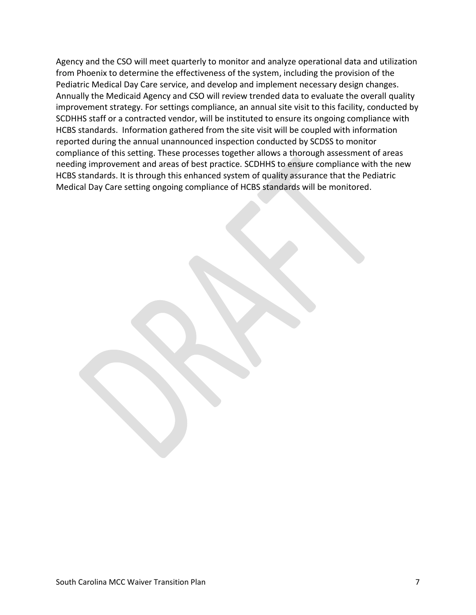Agency and the CSO will meet quarterly to monitor and analyze operational data and utilization from Phoenix to determine the effectiveness of the system, including the provision of the Pediatric Medical Day Care service, and develop and implement necessary design changes. Annually the Medicaid Agency and CSO will review trended data to evaluate the overall quality improvement strategy. For settings compliance, an annual site visit to this facility, conducted by SCDHHS staff or a contracted vendor, will be instituted to ensure its ongoing compliance with HCBS standards. Information gathered from the site visit will be coupled with information reported during the annual unannounced inspection conducted by SCDSS to monitor compliance of this setting. These processes together allows a thorough assessment of areas needing improvement and areas of best practice. SCDHHS to ensure compliance with the new HCBS standards. It is through this enhanced system of quality assurance that the Pediatric Medical Day Care setting ongoing compliance of HCBS standards will be monitored.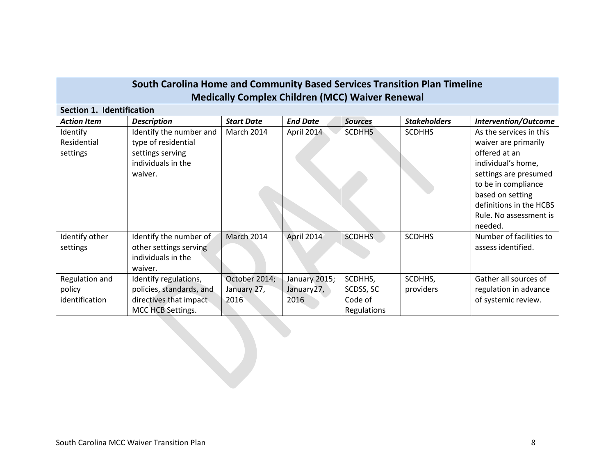| South Carolina Home and Community Based Services Transition Plan Timeline<br><b>Medically Complex Children (MCC) Waiver Renewal</b> |                                                                                                     |                                      |                                     |                                                |                      |                                                                                                                                                                                                                            |  |  |  |
|-------------------------------------------------------------------------------------------------------------------------------------|-----------------------------------------------------------------------------------------------------|--------------------------------------|-------------------------------------|------------------------------------------------|----------------------|----------------------------------------------------------------------------------------------------------------------------------------------------------------------------------------------------------------------------|--|--|--|
| Section 1. Identification                                                                                                           |                                                                                                     |                                      |                                     |                                                |                      |                                                                                                                                                                                                                            |  |  |  |
| <b>Action Item</b>                                                                                                                  | <b>Description</b>                                                                                  | <b>Start Date</b>                    | <b>End Date</b>                     | <b>Sources</b>                                 | <b>Stakeholders</b>  | <b>Intervention/Outcome</b>                                                                                                                                                                                                |  |  |  |
| Identify<br>Residential<br>settings                                                                                                 | Identify the number and<br>type of residential<br>settings serving<br>individuals in the<br>waiver. | March 2014                           | April 2014                          | <b>SCDHHS</b>                                  | <b>SCDHHS</b>        | As the services in this<br>waiver are primarily<br>offered at an<br>individual's home,<br>settings are presumed<br>to be in compliance<br>based on setting<br>definitions in the HCBS<br>Rule. No assessment is<br>needed. |  |  |  |
| Identify other<br>settings                                                                                                          | Identify the number of<br>other settings serving<br>individuals in the<br>waiver.                   | March 2014                           | April 2014                          | <b>SCDHHS</b>                                  | <b>SCDHHS</b>        | Number of facilities to<br>assess identified.                                                                                                                                                                              |  |  |  |
| Regulation and<br>policy<br>identification                                                                                          | Identify regulations,<br>policies, standards, and<br>directives that impact<br>MCC HCB Settings.    | October 2014;<br>January 27,<br>2016 | January 2015;<br>January27,<br>2016 | SCDHHS,<br>SCDSS, SC<br>Code of<br>Regulations | SCDHHS,<br>providers | Gather all sources of<br>regulation in advance<br>of systemic review.                                                                                                                                                      |  |  |  |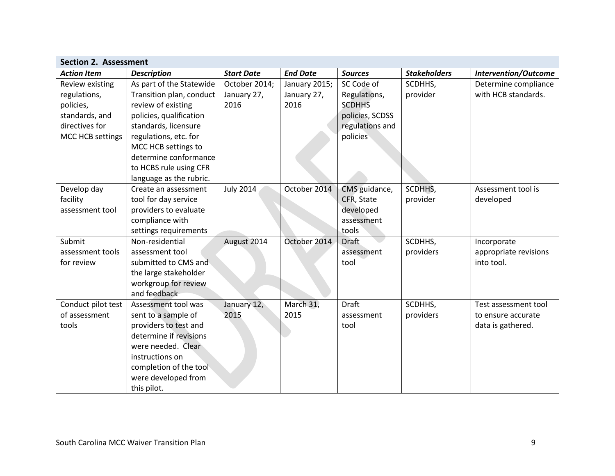| <b>Section 2. Assessment</b> |                          |                   |                 |                 |                     |                             |  |
|------------------------------|--------------------------|-------------------|-----------------|-----------------|---------------------|-----------------------------|--|
| <b>Action Item</b>           | <b>Description</b>       | <b>Start Date</b> | <b>End Date</b> | <b>Sources</b>  | <b>Stakeholders</b> | <b>Intervention/Outcome</b> |  |
| Review existing              | As part of the Statewide | October 2014;     | January 2015;   | SC Code of      | SCDHHS,             | Determine compliance        |  |
| regulations,                 | Transition plan, conduct | January 27,       | January 27,     | Regulations,    | provider            | with HCB standards.         |  |
| policies,                    | review of existing       | 2016              | 2016            | <b>SCDHHS</b>   |                     |                             |  |
| standards, and               | policies, qualification  |                   |                 | policies, SCDSS |                     |                             |  |
| directives for               | standards, licensure     |                   |                 | regulations and |                     |                             |  |
| MCC HCB settings             | regulations, etc. for    |                   |                 | policies        |                     |                             |  |
|                              | MCC HCB settings to      |                   |                 |                 |                     |                             |  |
|                              | determine conformance    |                   |                 |                 |                     |                             |  |
|                              | to HCBS rule using CFR   |                   |                 |                 |                     |                             |  |
|                              | language as the rubric.  |                   |                 |                 |                     |                             |  |
| Develop day                  | Create an assessment     | <b>July 2014</b>  | October 2014    | CMS guidance,   | SCDHHS,             | Assessment tool is          |  |
| facility                     | tool for day service     |                   |                 | CFR, State      | provider            | developed                   |  |
| assessment tool              | providers to evaluate    |                   |                 | developed       |                     |                             |  |
|                              | compliance with          |                   |                 | assessment      |                     |                             |  |
|                              | settings requirements    |                   |                 | tools           |                     |                             |  |
| Submit                       | Non-residential          | August 2014       | October 2014    | <b>Draft</b>    | SCDHHS,             | Incorporate                 |  |
| assessment tools             | assessment tool          |                   |                 | assessment      | providers           | appropriate revisions       |  |
| for review                   | submitted to CMS and     |                   |                 | tool            |                     | into tool.                  |  |
|                              | the large stakeholder    |                   |                 |                 |                     |                             |  |
|                              | workgroup for review     |                   |                 |                 |                     |                             |  |
|                              | and feedback             |                   |                 |                 |                     |                             |  |
| Conduct pilot test           | Assessment tool was      | January 12,       | March 31,       | <b>Draft</b>    | SCDHHS,             | Test assessment tool        |  |
| of assessment                | sent to a sample of      | 2015              | 2015            | assessment      | providers           | to ensure accurate          |  |
| tools                        | providers to test and    |                   |                 | tool            |                     | data is gathered.           |  |
|                              | determine if revisions   |                   |                 |                 |                     |                             |  |
|                              | were needed. Clear       |                   |                 |                 |                     |                             |  |
|                              | instructions on          |                   |                 |                 |                     |                             |  |
|                              | completion of the tool   |                   |                 |                 |                     |                             |  |
|                              | were developed from      |                   |                 |                 |                     |                             |  |
|                              | this pilot.              |                   |                 |                 |                     |                             |  |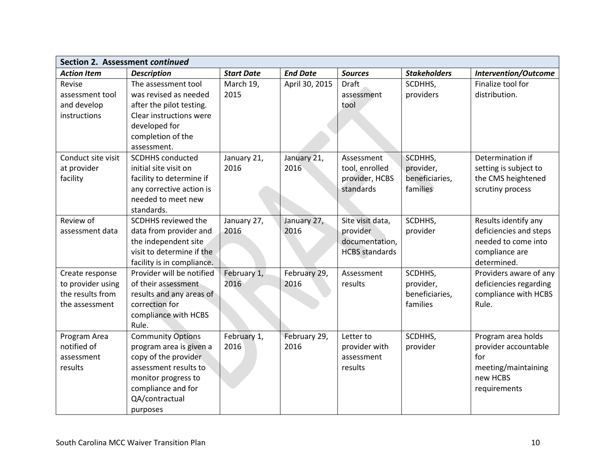| Section 2. Assessment continued                                            |                                                                                                                                                                                 |                     |                      |                                                                         |                                                    |                                                                                                        |  |
|----------------------------------------------------------------------------|---------------------------------------------------------------------------------------------------------------------------------------------------------------------------------|---------------------|----------------------|-------------------------------------------------------------------------|----------------------------------------------------|--------------------------------------------------------------------------------------------------------|--|
| <b>Action Item</b>                                                         | <b>Description</b>                                                                                                                                                              | <b>Start Date</b>   | <b>End Date</b>      | <b>Sources</b>                                                          | <b>Stakeholders</b>                                | <b>Intervention/Outcome</b>                                                                            |  |
| Revise<br>assessment tool<br>and develop<br>instructions                   | The assessment tool<br>was revised as needed<br>after the pilot testing.<br>Clear instructions were<br>developed for<br>completion of the<br>assessment.                        | March 19,<br>2015   | April 30, 2015       | <b>Draft</b><br>assessment<br>tool                                      | SCDHHS,<br>providers                               | Finalize tool for<br>distribution.                                                                     |  |
| Conduct site visit<br>at provider<br>facility                              | <b>SCDHHS conducted</b><br>initial site visit on<br>facility to determine if<br>any corrective action is<br>needed to meet new<br>standards.                                    | January 21,<br>2016 | January 21,<br>2016  | Assessment<br>tool, enrolled<br>provider, HCBS<br>standards             | SCDHHS,<br>provider,<br>beneficiaries,<br>families | Determination if<br>setting is subject to<br>the CMS heightened<br>scrutiny process                    |  |
| Review of<br>assessment data                                               | SCDHHS reviewed the<br>data from provider and<br>the independent site<br>visit to determine if the<br>facility is in compliance.                                                | January 27,<br>2016 | January 27,<br>2016  | Site visit data,<br>provider<br>documentation,<br><b>HCBS</b> standards | SCDHHS,<br>provider                                | Results identify any<br>deficiencies and steps<br>needed to come into<br>compliance are<br>determined. |  |
| Create response<br>to provider using<br>the results from<br>the assessment | Provider will be notified<br>of their assessment<br>results and any areas of<br>correction for<br>compliance with HCBS<br>Rule.                                                 | February 1,<br>2016 | February 29,<br>2016 | Assessment<br>results                                                   | SCDHHS,<br>provider,<br>beneficiaries,<br>families | Providers aware of any<br>deficiencies regarding<br>compliance with HCBS<br>Rule.                      |  |
| Program Area<br>notified of<br>assessment<br>results                       | <b>Community Options</b><br>program area is given a<br>copy of the provider<br>assessment results to<br>monitor progress to<br>compliance and for<br>QA/contractual<br>purposes | February 1,<br>2016 | February 29,<br>2016 | Letter to<br>provider with<br>assessment<br>results                     | SCDHHS,<br>provider                                | Program area holds<br>provider accountable<br>for<br>meeting/maintaining<br>new HCBS<br>requirements   |  |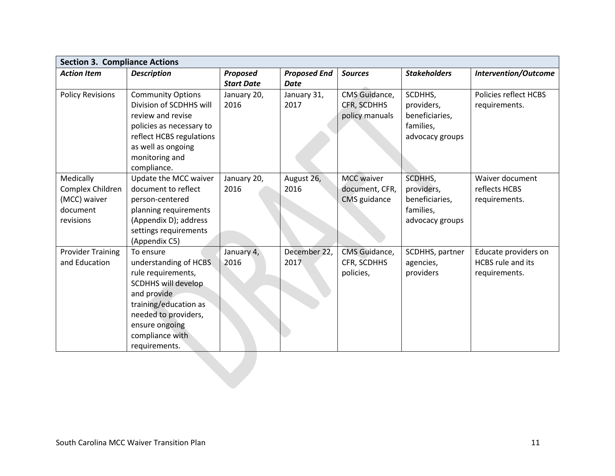| <b>Section 3. Compliance Actions</b> |                          |                   |                     |                   |                     |                             |  |  |
|--------------------------------------|--------------------------|-------------------|---------------------|-------------------|---------------------|-----------------------------|--|--|
| <b>Action Item</b>                   | <b>Description</b>       | Proposed          | <b>Proposed End</b> | <b>Sources</b>    | <b>Stakeholders</b> | <b>Intervention/Outcome</b> |  |  |
|                                      |                          | <b>Start Date</b> | <b>Date</b>         |                   |                     |                             |  |  |
| <b>Policy Revisions</b>              | <b>Community Options</b> | January 20,       | January 31,         | CMS Guidance,     | SCDHHS,             | Policies reflect HCBS       |  |  |
|                                      | Division of SCDHHS will  | 2016              | 2017                | CFR, SCDHHS       | providers,          | requirements.               |  |  |
|                                      | review and revise        |                   |                     | policy manuals    | beneficiaries,      |                             |  |  |
|                                      | policies as necessary to |                   |                     |                   | families,           |                             |  |  |
|                                      | reflect HCBS regulations |                   |                     |                   | advocacy groups     |                             |  |  |
|                                      | as well as ongoing       |                   |                     |                   |                     |                             |  |  |
|                                      | monitoring and           |                   |                     |                   |                     |                             |  |  |
|                                      | compliance.              |                   |                     |                   |                     |                             |  |  |
| Medically                            | Update the MCC waiver    | January 20,       | August 26,          | <b>MCC</b> waiver | SCDHHS,             | Waiver document             |  |  |
| Complex Children                     | document to reflect      | 2016              | 2016                | document, CFR,    | providers,          | reflects HCBS               |  |  |
| (MCC) waiver                         | person-centered          |                   |                     | CMS guidance      | beneficiaries,      | requirements.               |  |  |
| document                             | planning requirements    |                   |                     |                   | families,           |                             |  |  |
| revisions                            | (Appendix D); address    |                   |                     |                   | advocacy groups     |                             |  |  |
|                                      | settings requirements    |                   |                     |                   |                     |                             |  |  |
|                                      | (Appendix C5)            |                   |                     |                   |                     |                             |  |  |
| <b>Provider Training</b>             | To ensure                | January 4,        | December 22,        | CMS Guidance,     | SCDHHS, partner     | Educate providers on        |  |  |
| and Education                        | understanding of HCBS    | 2016              | 2017                | CFR, SCDHHS       | agencies,           | <b>HCBS</b> rule and its    |  |  |
|                                      | rule requirements,       |                   |                     | policies,         | providers           | requirements.               |  |  |
|                                      | SCDHHS will develop      |                   |                     |                   |                     |                             |  |  |
|                                      | and provide              |                   |                     |                   |                     |                             |  |  |
|                                      | training/education as    |                   |                     |                   |                     |                             |  |  |
|                                      | needed to providers,     |                   |                     |                   |                     |                             |  |  |
|                                      | ensure ongoing           |                   |                     |                   |                     |                             |  |  |
|                                      | compliance with          |                   |                     |                   |                     |                             |  |  |
|                                      | requirements.            |                   |                     |                   |                     |                             |  |  |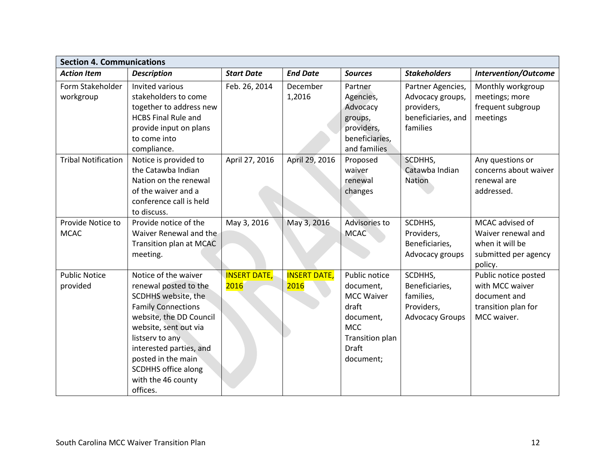| <b>Section 4. Communications</b> |                                                                                                                                                                                                                                                                                           |                             |                             |                                                                                                                              |                                                                                       |                                                                                               |  |  |
|----------------------------------|-------------------------------------------------------------------------------------------------------------------------------------------------------------------------------------------------------------------------------------------------------------------------------------------|-----------------------------|-----------------------------|------------------------------------------------------------------------------------------------------------------------------|---------------------------------------------------------------------------------------|-----------------------------------------------------------------------------------------------|--|--|
| <b>Action Item</b>               | <b>Description</b>                                                                                                                                                                                                                                                                        | <b>Start Date</b>           | <b>End Date</b>             | <b>Sources</b>                                                                                                               | <b>Stakeholders</b>                                                                   | <b>Intervention/Outcome</b>                                                                   |  |  |
| Form Stakeholder<br>workgroup    | Invited various<br>stakeholders to come<br>together to address new<br><b>HCBS Final Rule and</b><br>provide input on plans<br>to come into<br>compliance.                                                                                                                                 | Feb. 26, 2014               | December<br>1,2016          | Partner<br>Agencies,<br>Advocacy<br>groups,<br>providers,<br>beneficiaries,<br>and families                                  | Partner Agencies,<br>Advocacy groups,<br>providers,<br>beneficiaries, and<br>families | Monthly workgroup<br>meetings; more<br>frequent subgroup<br>meetings                          |  |  |
| <b>Tribal Notification</b>       | Notice is provided to<br>the Catawba Indian<br>Nation on the renewal<br>of the waiver and a<br>conference call is held<br>to discuss.                                                                                                                                                     | April 27, 2016              | April 29, 2016              | Proposed<br>waiver<br>renewal<br>changes                                                                                     | SCDHHS,<br>Catawba Indian<br><b>Nation</b>                                            | Any questions or<br>concerns about waiver<br>renewal are<br>addressed.                        |  |  |
| Provide Notice to<br><b>MCAC</b> | Provide notice of the<br>Waiver Renewal and the<br>Transition plan at MCAC<br>meeting.                                                                                                                                                                                                    | May 3, 2016                 | May 3, 2016                 | Advisories to<br><b>MCAC</b>                                                                                                 | SCDHHS,<br>Providers,<br>Beneficiaries,<br>Advocacy groups                            | MCAC advised of<br>Waiver renewal and<br>when it will be<br>submitted per agency<br>policy.   |  |  |
| <b>Public Notice</b><br>provided | Notice of the waiver<br>renewal posted to the<br>SCDHHS website, the<br><b>Family Connections</b><br>website, the DD Council<br>website, sent out via<br>listserv to any<br>interested parties, and<br>posted in the main<br><b>SCDHHS office along</b><br>with the 46 county<br>offices. | <b>INSERT DATE,</b><br>2016 | <b>INSERT DATE,</b><br>2016 | Public notice<br>document,<br><b>MCC Waiver</b><br>draft<br>document,<br><b>MCC</b><br>Transition plan<br>Draft<br>document; | SCDHHS,<br>Beneficiaries,<br>families,<br>Providers,<br><b>Advocacy Groups</b>        | Public notice posted<br>with MCC waiver<br>document and<br>transition plan for<br>MCC waiver. |  |  |